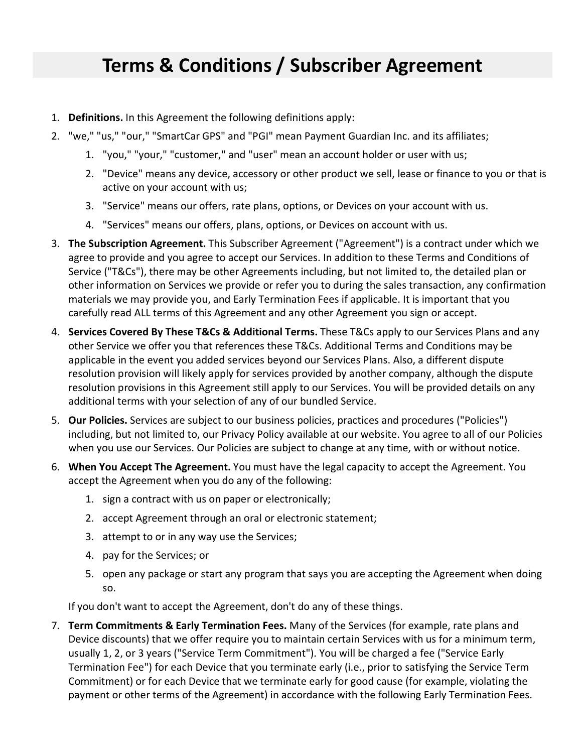## **Terms & Conditions / Subscriber Agreement**

- 1. **Definitions.** In this Agreement the following definitions apply:
- 2. "we," "us," "our," "SmartCar GPS" and "PGI" mean Payment Guardian Inc. and its affiliates;
	- 1. "you," "your," "customer," and "user" mean an account holder or user with us;
	- 2. "Device" means any device, accessory or other product we sell, lease or finance to you or that is active on your account with us;
	- 3. "Service" means our offers, rate plans, options, or Devices on your account with us.
	- 4. "Services" means our offers, plans, options, or Devices on account with us.
- 3. **The Subscription Agreement.** This Subscriber Agreement ("Agreement") is a contract under which we agree to provide and you agree to accept our Services. In addition to these Terms and Conditions of Service ("T&Cs"), there may be other Agreements including, but not limited to, the detailed plan or other information on Services we provide or refer you to during the sales transaction, any confirmation materials we may provide you, and Early Termination Fees if applicable. It is important that you carefully read ALL terms of this Agreement and any other Agreement you sign or accept.
- 4. **Services Covered By These T&Cs & Additional Terms.** These T&Cs apply to our Services Plans and any other Service we offer you that references these T&Cs. Additional Terms and Conditions may be applicable in the event you added services beyond our Services Plans. Also, a different dispute resolution provision will likely apply for services provided by another company, although the dispute resolution provisions in this Agreement still apply to our Services. You will be provided details on any additional terms with your selection of any of our bundled Service.
- 5. **Our Policies.** Services are subject to our business policies, practices and procedures ("Policies") including, but not limited to, our Privacy Policy available at our website. You agree to all of our Policies when you use our Services. Our Policies are subject to change at any time, with or without notice.
- 6. **When You Accept The Agreement.** You must have the legal capacity to accept the Agreement. You accept the Agreement when you do any of the following:
	- 1. sign a contract with us on paper or electronically;
	- 2. accept Agreement through an oral or electronic statement;
	- 3. attempt to or in any way use the Services;
	- 4. pay for the Services; or
	- 5. open any package or start any program that says you are accepting the Agreement when doing so.

If you don't want to accept the Agreement, don't do any of these things.

7. **Term Commitments & Early Termination Fees.** Many of the Services (for example, rate plans and Device discounts) that we offer require you to maintain certain Services with us for a minimum term, usually 1, 2, or 3 years ("Service Term Commitment"). You will be charged a fee ("Service Early Termination Fee") for each Device that you terminate early (i.e., prior to satisfying the Service Term Commitment) or for each Device that we terminate early for good cause (for example, violating the payment or other terms of the Agreement) in accordance with the following Early Termination Fees.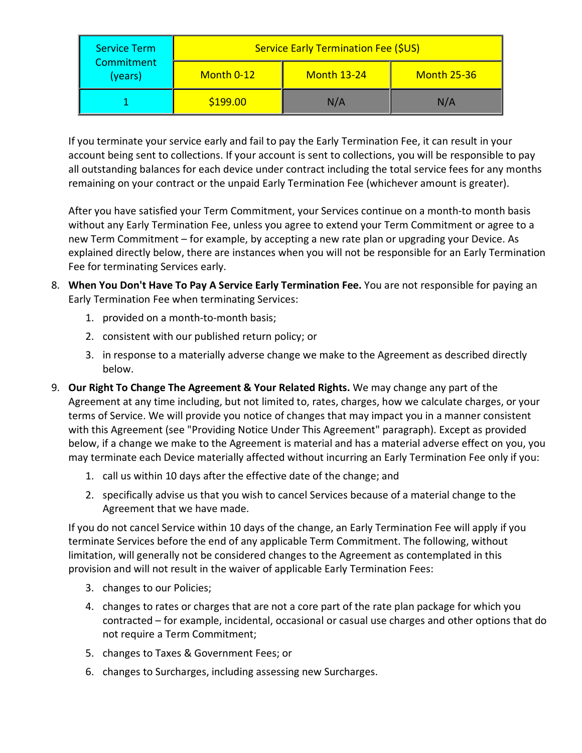| <b>Service Term</b><br><b>Commitment</b><br>(years) | Service Early Termination Fee (\$US) |                    |                    |
|-----------------------------------------------------|--------------------------------------|--------------------|--------------------|
|                                                     | Month 0-12                           | <b>Month 13-24</b> | <b>Month 25-36</b> |
|                                                     | \$199.00                             | N/A                | N/A                |

If you terminate your service early and fail to pay the Early Termination Fee, it can result in your account being sent to collections. If your account is sent to collections, you will be responsible to pay all outstanding balances for each device under contract including the total service fees for any months remaining on your contract or the unpaid Early Termination Fee (whichever amount is greater).

After you have satisfied your Term Commitment, your Services continue on a month-to month basis without any Early Termination Fee, unless you agree to extend your Term Commitment or agree to a new Term Commitment – for example, by accepting a new rate plan or upgrading your Device. As explained directly below, there are instances when you will not be responsible for an Early Termination Fee for terminating Services early.

- 8. **When You Don't Have To Pay A Service Early Termination Fee.** You are not responsible for paying an Early Termination Fee when terminating Services:
	- 1. provided on a month-to-month basis;
	- 2. consistent with our published return policy; or
	- 3. in response to a materially adverse change we make to the Agreement as described directly below.
- 9. **Our Right To Change The Agreement & Your Related Rights.** We may change any part of the Agreement at any time including, but not limited to, rates, charges, how we calculate charges, or your terms of Service. We will provide you notice of changes that may impact you in a manner consistent with this Agreement (see "Providing Notice Under This Agreement" paragraph). Except as provided below, if a change we make to the Agreement is material and has a material adverse effect on you, you may terminate each Device materially affected without incurring an Early Termination Fee only if you:
	- 1. call us within 10 days after the effective date of the change; and
	- 2. specifically advise us that you wish to cancel Services because of a material change to the Agreement that we have made.

If you do not cancel Service within 10 days of the change, an Early Termination Fee will apply if you terminate Services before the end of any applicable Term Commitment. The following, without limitation, will generally not be considered changes to the Agreement as contemplated in this provision and will not result in the waiver of applicable Early Termination Fees:

- 3. changes to our Policies;
- 4. changes to rates or charges that are not a core part of the rate plan package for which you contracted – for example, incidental, occasional or casual use charges and other options that do not require a Term Commitment;
- 5. changes to Taxes & Government Fees; or
- 6. changes to Surcharges, including assessing new Surcharges.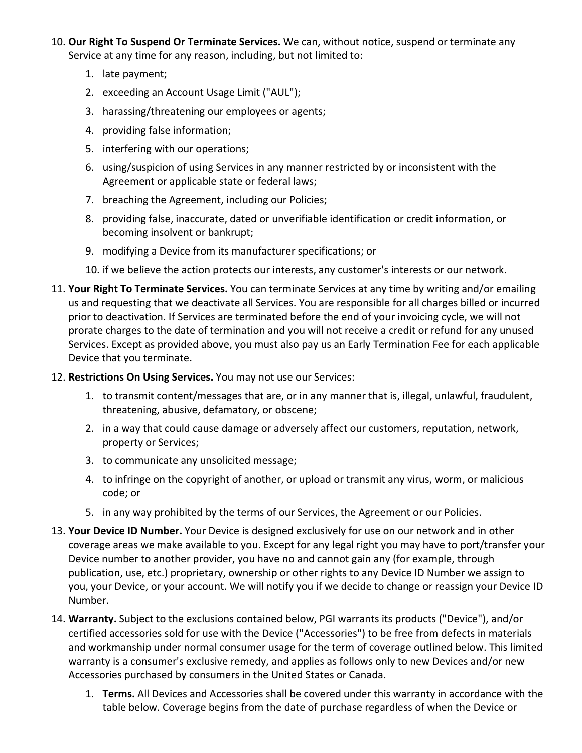- 10. **Our Right To Suspend Or Terminate Services.** We can, without notice, suspend or terminate any Service at any time for any reason, including, but not limited to:
	- 1. late payment;
	- 2. exceeding an Account Usage Limit ("AUL");
	- 3. harassing/threatening our employees or agents;
	- 4. providing false information;
	- 5. interfering with our operations;
	- 6. using/suspicion of using Services in any manner restricted by or inconsistent with the Agreement or applicable state or federal laws;
	- 7. breaching the Agreement, including our Policies;
	- 8. providing false, inaccurate, dated or unverifiable identification or credit information, or becoming insolvent or bankrupt;
	- 9. modifying a Device from its manufacturer specifications; or
	- 10. if we believe the action protects our interests, any customer's interests or our network.
- 11. **Your Right To Terminate Services.** You can terminate Services at any time by writing and/or emailing us and requesting that we deactivate all Services. You are responsible for all charges billed or incurred prior to deactivation. If Services are terminated before the end of your invoicing cycle, we will not prorate charges to the date of termination and you will not receive a credit or refund for any unused Services. Except as provided above, you must also pay us an Early Termination Fee for each applicable Device that you terminate.
- 12. **Restrictions On Using Services.** You may not use our Services:
	- 1. to transmit content/messages that are, or in any manner that is, illegal, unlawful, fraudulent, threatening, abusive, defamatory, or obscene;
	- 2. in a way that could cause damage or adversely affect our customers, reputation, network, property or Services;
	- 3. to communicate any unsolicited message;
	- 4. to infringe on the copyright of another, or upload or transmit any virus, worm, or malicious code; or
	- 5. in any way prohibited by the terms of our Services, the Agreement or our Policies.
- 13. **Your Device ID Number.** Your Device is designed exclusively for use on our network and in other coverage areas we make available to you. Except for any legal right you may have to port/transfer your Device number to another provider, you have no and cannot gain any (for example, through publication, use, etc.) proprietary, ownership or other rights to any Device ID Number we assign to you, your Device, or your account. We will notify you if we decide to change or reassign your Device ID Number.
- 14. **Warranty.** Subject to the exclusions contained below, PGI warrants its products ("Device"), and/or certified accessories sold for use with the Device ("Accessories") to be free from defects in materials and workmanship under normal consumer usage for the term of coverage outlined below. This limited warranty is a consumer's exclusive remedy, and applies as follows only to new Devices and/or new Accessories purchased by consumers in the United States or Canada.
	- 1. **Terms.** All Devices and Accessories shall be covered under this warranty in accordance with the table below. Coverage begins from the date of purchase regardless of when the Device or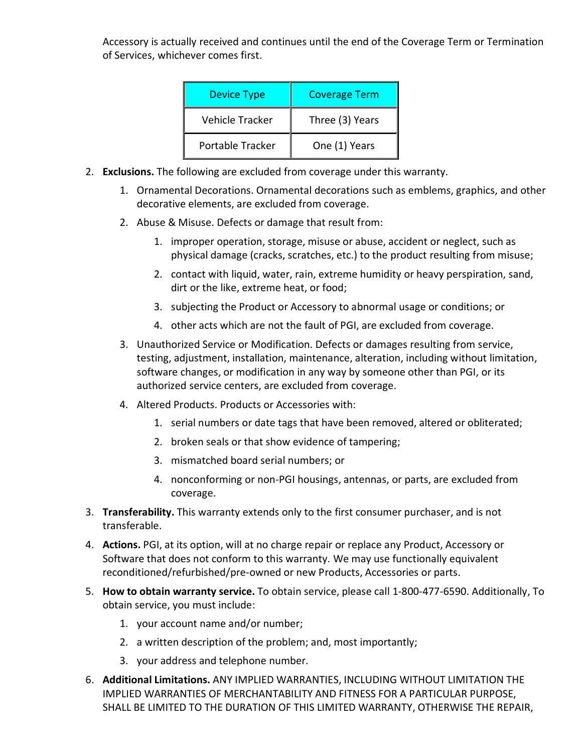Accessory is actually received and continues until the end of the Coverage Term or Termination of Services, whichever comes first.

| <b>Device Type</b>     | <b>Coverage Term</b> |  |
|------------------------|----------------------|--|
| <b>Vehicle Tracker</b> | Three (3) Years      |  |
| Portable Tracker       | One (1) Years        |  |

- 2. **Exclusions.** The following are excluded from coverage under this warranty.
	- 1. Ornamental Decorations. Ornamental decorations such as emblems, graphics, and other decorative elements, are excluded from coverage.
	- 2. Abuse & Misuse. Defects or damage that result from:
		- 1. improper operation, storage, misuse or abuse, accident or neglect, such as physical damage (cracks, scratches, etc.) to the product resulting from misuse;
		- 2. contact with liquid, water, rain, extreme humidity or heavy perspiration, sand, dirt or the like, extreme heat, or food;
		- 3. subjecting the Product or Accessory to abnormal usage or conditions; or
		- 4. other acts which are not the fault of PGI, are excluded from coverage.
	- 3. Unauthorized Service or Modification. Defects or damages resulting from service, testing, adjustment, installation, maintenance, alteration, including without limitation, software changes, or modification in any way by someone other than PGI, or its authorized service centers, are excluded from coverage.
	- 4. Altered Products. Products or Accessories with:
		- 1. serial numbers or date tags that have been removed, altered or obliterated;
		- 2. broken seals or that show evidence of tampering;
		- 3. mismatched board serial numbers; or
		- 4. nonconforming or non-PGI housings, antennas, or parts, are excluded from coverage.
- 3. **Transferability.** This warranty extends only to the first consumer purchaser, and is not transferable.
- 4. **Actions.** PGI, at its option, will at no charge repair or replace any Product, Accessory or Software that does not conform to this warranty. We may use functionally equivalent reconditioned/refurbished/pre-owned or new Products, Accessories or parts.
- 5. **How to obtain warranty service.** To obtain service, please call 1-800-477-6590. Additionally, To obtain service, you must include:
	- 1. your account name and/or number;
	- 2. a written description of the problem; and, most importantly;
	- 3. your address and telephone number.
- 6. **Additional Limitations.** ANY IMPLIED WARRANTIES, INCLUDING WITHOUT LIMITATION THE IMPLIED WARRANTIES OF MERCHANTABILITY AND FITNESS FOR A PARTICULAR PURPOSE, SHALL BE LIMITED TO THE DURATION OF THIS LIMITED WARRANTY, OTHERWISE THE REPAIR,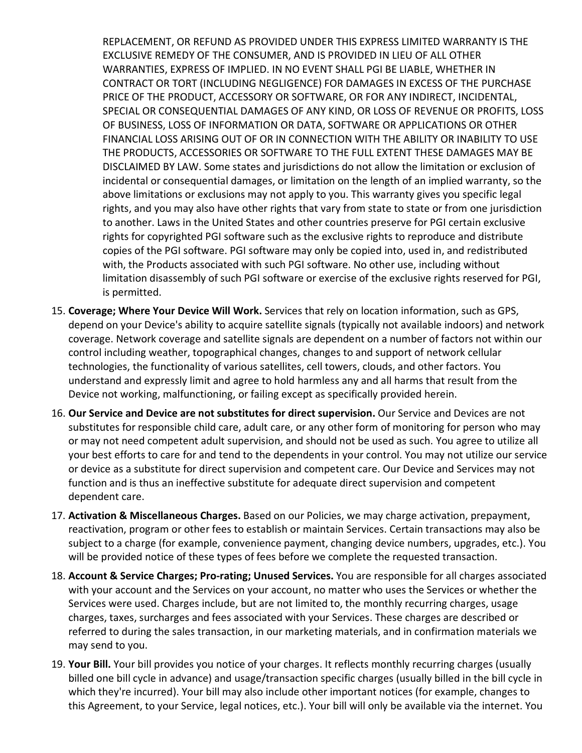REPLACEMENT, OR REFUND AS PROVIDED UNDER THIS EXPRESS LIMITED WARRANTY IS THE EXCLUSIVE REMEDY OF THE CONSUMER, AND IS PROVIDED IN LIEU OF ALL OTHER WARRANTIES, EXPRESS OF IMPLIED. IN NO EVENT SHALL PGI BE LIABLE, WHETHER IN CONTRACT OR TORT (INCLUDING NEGLIGENCE) FOR DAMAGES IN EXCESS OF THE PURCHASE PRICE OF THE PRODUCT, ACCESSORY OR SOFTWARE, OR FOR ANY INDIRECT, INCIDENTAL, SPECIAL OR CONSEQUENTIAL DAMAGES OF ANY KIND, OR LOSS OF REVENUE OR PROFITS, LOSS OF BUSINESS, LOSS OF INFORMATION OR DATA, SOFTWARE OR APPLICATIONS OR OTHER FINANCIAL LOSS ARISING OUT OF OR IN CONNECTION WITH THE ABILITY OR INABILITY TO USE THE PRODUCTS, ACCESSORIES OR SOFTWARE TO THE FULL EXTENT THESE DAMAGES MAY BE DISCLAIMED BY LAW. Some states and jurisdictions do not allow the limitation or exclusion of incidental or consequential damages, or limitation on the length of an implied warranty, so the above limitations or exclusions may not apply to you. This warranty gives you specific legal rights, and you may also have other rights that vary from state to state or from one jurisdiction to another. Laws in the United States and other countries preserve for PGI certain exclusive rights for copyrighted PGI software such as the exclusive rights to reproduce and distribute copies of the PGI software. PGI software may only be copied into, used in, and redistributed with, the Products associated with such PGI software. No other use, including without limitation disassembly of such PGI software or exercise of the exclusive rights reserved for PGI, is permitted.

- 15. **Coverage; Where Your Device Will Work.** Services that rely on location information, such as GPS, depend on your Device's ability to acquire satellite signals (typically not available indoors) and network coverage. Network coverage and satellite signals are dependent on a number of factors not within our control including weather, topographical changes, changes to and support of network cellular technologies, the functionality of various satellites, cell towers, clouds, and other factors. You understand and expressly limit and agree to hold harmless any and all harms that result from the Device not working, malfunctioning, or failing except as specifically provided herein.
- 16. **Our Service and Device are not substitutes for direct supervision.** Our Service and Devices are not substitutes for responsible child care, adult care, or any other form of monitoring for person who may or may not need competent adult supervision, and should not be used as such. You agree to utilize all your best efforts to care for and tend to the dependents in your control. You may not utilize our service or device as a substitute for direct supervision and competent care. Our Device and Services may not function and is thus an ineffective substitute for adequate direct supervision and competent dependent care.
- 17. **Activation & Miscellaneous Charges.** Based on our Policies, we may charge activation, prepayment, reactivation, program or other fees to establish or maintain Services. Certain transactions may also be subject to a charge (for example, convenience payment, changing device numbers, upgrades, etc.). You will be provided notice of these types of fees before we complete the requested transaction.
- 18. **Account & Service Charges; Pro-rating; Unused Services.** You are responsible for all charges associated with your account and the Services on your account, no matter who uses the Services or whether the Services were used. Charges include, but are not limited to, the monthly recurring charges, usage charges, taxes, surcharges and fees associated with your Services. These charges are described or referred to during the sales transaction, in our marketing materials, and in confirmation materials we may send to you.
- 19. **Your Bill.** Your bill provides you notice of your charges. It reflects monthly recurring charges (usually billed one bill cycle in advance) and usage/transaction specific charges (usually billed in the bill cycle in which they're incurred). Your bill may also include other important notices (for example, changes to this Agreement, to your Service, legal notices, etc.). Your bill will only be available via the internet. You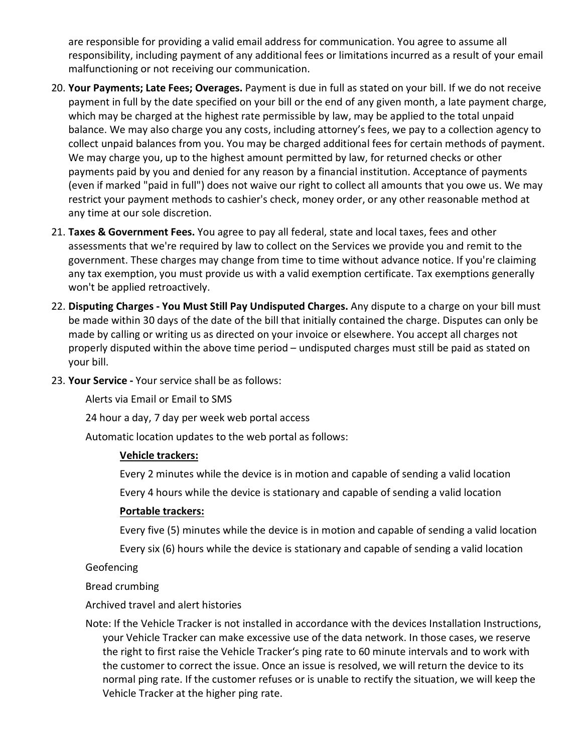are responsible for providing a valid email address for communication. You agree to assume all responsibility, including payment of any additional fees or limitations incurred as a result of your email malfunctioning or not receiving our communication.

- 20. **Your Payments; Late Fees; Overages.** Payment is due in full as stated on your bill. If we do not receive payment in full by the date specified on your bill or the end of any given month, a late payment charge, which may be charged at the highest rate permissible by law, may be applied to the total unpaid balance. We may also charge you any costs, including attorney's fees, we pay to a collection agency to collect unpaid balances from you. You may be charged additional fees for certain methods of payment. We may charge you, up to the highest amount permitted by law, for returned checks or other payments paid by you and denied for any reason by a financial institution. Acceptance of payments (even if marked "paid in full") does not waive our right to collect all amounts that you owe us. We may restrict your payment methods to cashier's check, money order, or any other reasonable method at any time at our sole discretion.
- 21. **Taxes & Government Fees.** You agree to pay all federal, state and local taxes, fees and other assessments that we're required by law to collect on the Services we provide you and remit to the government. These charges may change from time to time without advance notice. If you're claiming any tax exemption, you must provide us with a valid exemption certificate. Tax exemptions generally won't be applied retroactively.
- 22. **Disputing Charges - You Must Still Pay Undisputed Charges.** Any dispute to a charge on your bill must be made within 30 days of the date of the bill that initially contained the charge. Disputes can only be made by calling or writing us as directed on your invoice or elsewhere. You accept all charges not properly disputed within the above time period – undisputed charges must still be paid as stated on your bill.
- 23. **Your Service -** Your service shall be as follows:

Alerts via Email or Email to SMS

24 hour a day, 7 day per week web portal access

Automatic location updates to the web portal as follows:

#### **Vehicle trackers:**

Every 2 minutes while the device is in motion and capable of sending a valid location

Every 4 hours while the device is stationary and capable of sending a valid location

## **Portable trackers:**

Every five (5) minutes while the device is in motion and capable of sending a valid location

Every six (6) hours while the device is stationary and capable of sending a valid location

Geofencing

Bread crumbing

Archived travel and alert histories

Note: If the Vehicle Tracker is not installed in accordance with the devices Installation Instructions, your Vehicle Tracker can make excessive use of the data network. In those cases, we reserve the right to first raise the Vehicle Tracker's ping rate to 60 minute intervals and to work with the customer to correct the issue. Once an issue is resolved, we will return the device to its normal ping rate. If the customer refuses or is unable to rectify the situation, we will keep the Vehicle Tracker at the higher ping rate.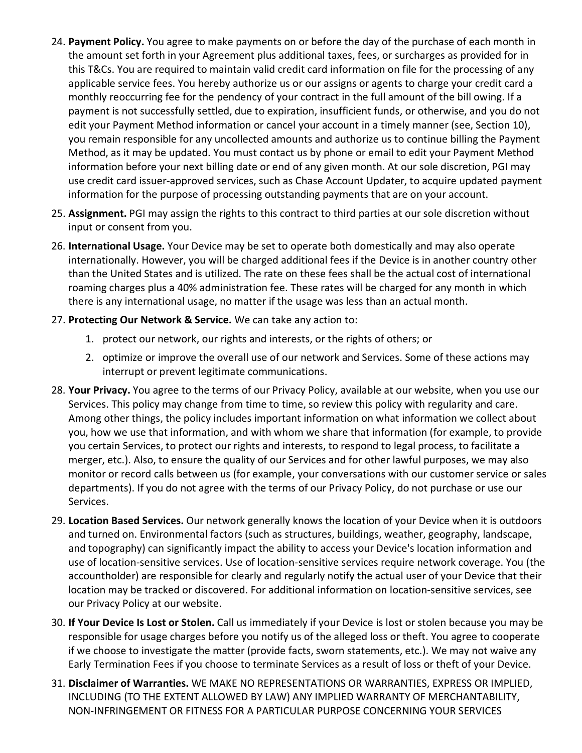- 24. **Payment Policy.** You agree to make payments on or before the day of the purchase of each month in the amount set forth in your Agreement plus additional taxes, fees, or surcharges as provided for in this T&Cs. You are required to maintain valid credit card information on file for the processing of any applicable service fees. You hereby authorize us or our assigns or agents to charge your credit card a monthly reoccurring fee for the pendency of your contract in the full amount of the bill owing. If a payment is not successfully settled, due to expiration, insufficient funds, or otherwise, and you do not edit your Payment Method information or cancel your account in a timely manner (see, Section 10), you remain responsible for any uncollected amounts and authorize us to continue billing the Payment Method, as it may be updated. You must contact us by phone or email to edit your Payment Method information before your next billing date or end of any given month. At our sole discretion, PGI may use credit card issuer-approved services, such as Chase Account Updater, to acquire updated payment information for the purpose of processing outstanding payments that are on your account.
- 25. **Assignment.** PGI may assign the rights to this contract to third parties at our sole discretion without input or consent from you.
- 26. **International Usage.** Your Device may be set to operate both domestically and may also operate internationally. However, you will be charged additional fees if the Device is in another country other than the United States and is utilized. The rate on these fees shall be the actual cost of international roaming charges plus a 40% administration fee. These rates will be charged for any month in which there is any international usage, no matter if the usage was less than an actual month.
- 27. **Protecting Our Network & Service.** We can take any action to:
	- 1. protect our network, our rights and interests, or the rights of others; or
	- 2. optimize or improve the overall use of our network and Services. Some of these actions may interrupt or prevent legitimate communications.
- 28. **Your Privacy.** You agree to the terms of our Privacy Policy, available at our website, when you use our Services. This policy may change from time to time, so review this policy with regularity and care. Among other things, the policy includes important information on what information we collect about you, how we use that information, and with whom we share that information (for example, to provide you certain Services, to protect our rights and interests, to respond to legal process, to facilitate a merger, etc.). Also, to ensure the quality of our Services and for other lawful purposes, we may also monitor or record calls between us (for example, your conversations with our customer service or sales departments). If you do not agree with the terms of our Privacy Policy, do not purchase or use our Services.
- 29. **Location Based Services.** Our network generally knows the location of your Device when it is outdoors and turned on. Environmental factors (such as structures, buildings, weather, geography, landscape, and topography) can significantly impact the ability to access your Device's location information and use of location-sensitive services. Use of location-sensitive services require network coverage. You (the accountholder) are responsible for clearly and regularly notify the actual user of your Device that their location may be tracked or discovered. For additional information on location-sensitive services, see our Privacy Policy at our website.
- 30. **If Your Device Is Lost or Stolen.** Call us immediately if your Device is lost or stolen because you may be responsible for usage charges before you notify us of the alleged loss or theft. You agree to cooperate if we choose to investigate the matter (provide facts, sworn statements, etc.). We may not waive any Early Termination Fees if you choose to terminate Services as a result of loss or theft of your Device.
- 31. **Disclaimer of Warranties.** WE MAKE NO REPRESENTATIONS OR WARRANTIES, EXPRESS OR IMPLIED, INCLUDING (TO THE EXTENT ALLOWED BY LAW) ANY IMPLIED WARRANTY OF MERCHANTABILITY, NON-INFRINGEMENT OR FITNESS FOR A PARTICULAR PURPOSE CONCERNING YOUR SERVICES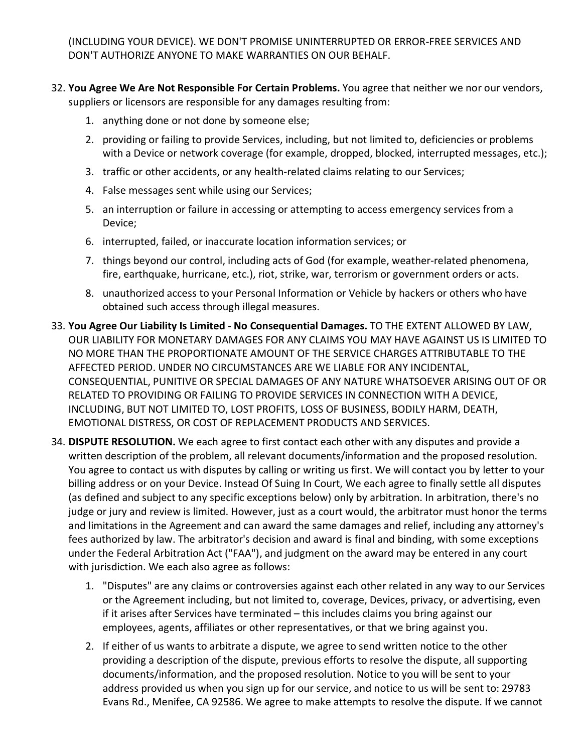(INCLUDING YOUR DEVICE). WE DON'T PROMISE UNINTERRUPTED OR ERROR-FREE SERVICES AND DON'T AUTHORIZE ANYONE TO MAKE WARRANTIES ON OUR BEHALF.

- 32. **You Agree We Are Not Responsible For Certain Problems.** You agree that neither we nor our vendors, suppliers or licensors are responsible for any damages resulting from:
	- 1. anything done or not done by someone else;
	- 2. providing or failing to provide Services, including, but not limited to, deficiencies or problems with a Device or network coverage (for example, dropped, blocked, interrupted messages, etc.);
	- 3. traffic or other accidents, or any health-related claims relating to our Services;
	- 4. False messages sent while using our Services;
	- 5. an interruption or failure in accessing or attempting to access emergency services from a Device;
	- 6. interrupted, failed, or inaccurate location information services; or
	- 7. things beyond our control, including acts of God (for example, weather-related phenomena, fire, earthquake, hurricane, etc.), riot, strike, war, terrorism or government orders or acts.
	- 8. unauthorized access to your Personal Information or Vehicle by hackers or others who have obtained such access through illegal measures.
- 33. **You Agree Our Liability Is Limited - No Consequential Damages.** TO THE EXTENT ALLOWED BY LAW, OUR LIABILITY FOR MONETARY DAMAGES FOR ANY CLAIMS YOU MAY HAVE AGAINST US IS LIMITED TO NO MORE THAN THE PROPORTIONATE AMOUNT OF THE SERVICE CHARGES ATTRIBUTABLE TO THE AFFECTED PERIOD. UNDER NO CIRCUMSTANCES ARE WE LIABLE FOR ANY INCIDENTAL, CONSEQUENTIAL, PUNITIVE OR SPECIAL DAMAGES OF ANY NATURE WHATSOEVER ARISING OUT OF OR RELATED TO PROVIDING OR FAILING TO PROVIDE SERVICES IN CONNECTION WITH A DEVICE, INCLUDING, BUT NOT LIMITED TO, LOST PROFITS, LOSS OF BUSINESS, BODILY HARM, DEATH, EMOTIONAL DISTRESS, OR COST OF REPLACEMENT PRODUCTS AND SERVICES.
- 34. **DISPUTE RESOLUTION.** We each agree to first contact each other with any disputes and provide a written description of the problem, all relevant documents/information and the proposed resolution. You agree to contact us with disputes by calling or writing us first. We will contact you by letter to your billing address or on your Device. Instead Of Suing In Court, We each agree to finally settle all disputes (as defined and subject to any specific exceptions below) only by arbitration. In arbitration, there's no judge or jury and review is limited. However, just as a court would, the arbitrator must honor the terms and limitations in the Agreement and can award the same damages and relief, including any attorney's fees authorized by law. The arbitrator's decision and award is final and binding, with some exceptions under the Federal Arbitration Act ("FAA"), and judgment on the award may be entered in any court with jurisdiction. We each also agree as follows:
	- 1. "Disputes" are any claims or controversies against each other related in any way to our Services or the Agreement including, but not limited to, coverage, Devices, privacy, or advertising, even if it arises after Services have terminated – this includes claims you bring against our employees, agents, affiliates or other representatives, or that we bring against you.
	- 2. If either of us wants to arbitrate a dispute, we agree to send written notice to the other providing a description of the dispute, previous efforts to resolve the dispute, all supporting documents/information, and the proposed resolution. Notice to you will be sent to your address provided us when you sign up for our service, and notice to us will be sent to: 29783 Evans Rd., Menifee, CA 92586. We agree to make attempts to resolve the dispute. If we cannot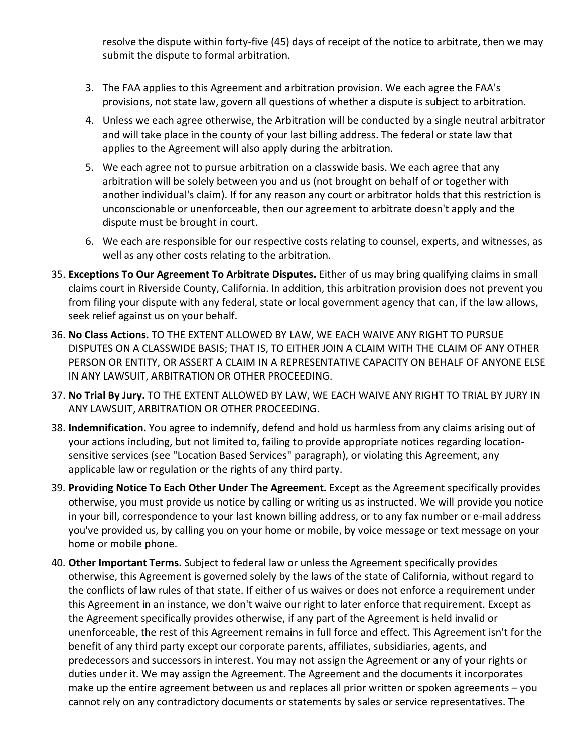resolve the dispute within forty-five (45) days of receipt of the notice to arbitrate, then we may submit the dispute to formal arbitration.

- 3. The FAA applies to this Agreement and arbitration provision. We each agree the FAA's provisions, not state law, govern all questions of whether a dispute is subject to arbitration.
- 4. Unless we each agree otherwise, the Arbitration will be conducted by a single neutral arbitrator and will take place in the county of your last billing address. The federal or state law that applies to the Agreement will also apply during the arbitration.
- 5. We each agree not to pursue arbitration on a classwide basis. We each agree that any arbitration will be solely between you and us (not brought on behalf of or together with another individual's claim). If for any reason any court or arbitrator holds that this restriction is unconscionable or unenforceable, then our agreement to arbitrate doesn't apply and the dispute must be brought in court.
- 6. We each are responsible for our respective costs relating to counsel, experts, and witnesses, as well as any other costs relating to the arbitration.
- 35. **Exceptions To Our Agreement To Arbitrate Disputes.** Either of us may bring qualifying claims in small claims court in Riverside County, California. In addition, this arbitration provision does not prevent you from filing your dispute with any federal, state or local government agency that can, if the law allows, seek relief against us on your behalf.
- 36. **No Class Actions.** TO THE EXTENT ALLOWED BY LAW, WE EACH WAIVE ANY RIGHT TO PURSUE DISPUTES ON A CLASSWIDE BASIS; THAT IS, TO EITHER JOIN A CLAIM WITH THE CLAIM OF ANY OTHER PERSON OR ENTITY, OR ASSERT A CLAIM IN A REPRESENTATIVE CAPACITY ON BEHALF OF ANYONE ELSE IN ANY LAWSUIT, ARBITRATION OR OTHER PROCEEDING.
- 37. **No Trial By Jury.** TO THE EXTENT ALLOWED BY LAW, WE EACH WAIVE ANY RIGHT TO TRIAL BY JURY IN ANY LAWSUIT, ARBITRATION OR OTHER PROCEEDING.
- 38. **Indemnification.** You agree to indemnify, defend and hold us harmless from any claims arising out of your actions including, but not limited to, failing to provide appropriate notices regarding locationsensitive services (see "Location Based Services" paragraph), or violating this Agreement, any applicable law or regulation or the rights of any third party.
- 39. **Providing Notice To Each Other Under The Agreement.** Except as the Agreement specifically provides otherwise, you must provide us notice by calling or writing us as instructed. We will provide you notice in your bill, correspondence to your last known billing address, or to any fax number or e-mail address you've provided us, by calling you on your home or mobile, by voice message or text message on your home or mobile phone.
- 40. **Other Important Terms.** Subject to federal law or unless the Agreement specifically provides otherwise, this Agreement is governed solely by the laws of the state of California, without regard to the conflicts of law rules of that state. If either of us waives or does not enforce a requirement under this Agreement in an instance, we don't waive our right to later enforce that requirement. Except as the Agreement specifically provides otherwise, if any part of the Agreement is held invalid or unenforceable, the rest of this Agreement remains in full force and effect. This Agreement isn't for the benefit of any third party except our corporate parents, affiliates, subsidiaries, agents, and predecessors and successors in interest. You may not assign the Agreement or any of your rights or duties under it. We may assign the Agreement. The Agreement and the documents it incorporates make up the entire agreement between us and replaces all prior written or spoken agreements – you cannot rely on any contradictory documents or statements by sales or service representatives. The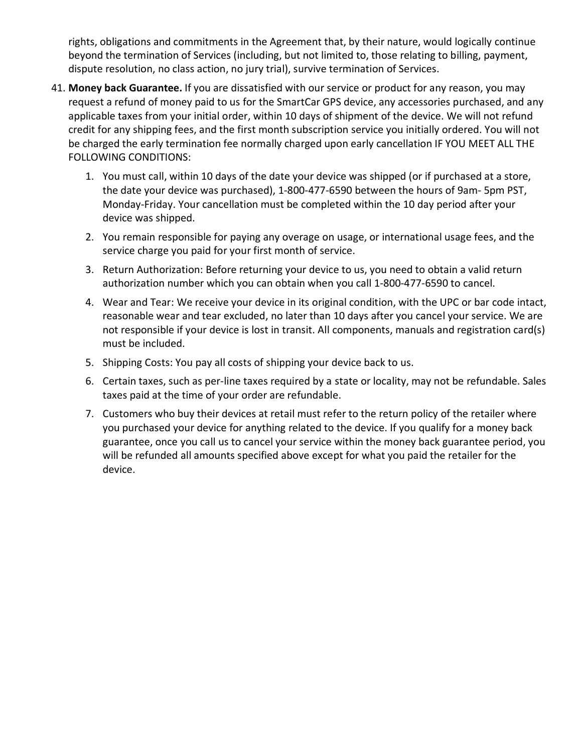rights, obligations and commitments in the Agreement that, by their nature, would logically continue beyond the termination of Services (including, but not limited to, those relating to billing, payment, dispute resolution, no class action, no jury trial), survive termination of Services.

- 41. **Money back Guarantee.** If you are dissatisfied with our service or product for any reason, you may request a refund of money paid to us for the SmartCar GPS device, any accessories purchased, and any applicable taxes from your initial order, within 10 days of shipment of the device. We will not refund credit for any shipping fees, and the first month subscription service you initially ordered. You will not be charged the early termination fee normally charged upon early cancellation IF YOU MEET ALL THE FOLLOWING CONDITIONS:
	- 1. You must call, within 10 days of the date your device was shipped (or if purchased at a store, the date your device was purchased), 1-800-477-6590 between the hours of 9am- 5pm PST, Monday-Friday. Your cancellation must be completed within the 10 day period after your device was shipped.
	- 2. You remain responsible for paying any overage on usage, or international usage fees, and the service charge you paid for your first month of service.
	- 3. Return Authorization: Before returning your device to us, you need to obtain a valid return authorization number which you can obtain when you call 1-800-477-6590 to cancel.
	- 4. Wear and Tear: We receive your device in its original condition, with the UPC or bar code intact, reasonable wear and tear excluded, no later than 10 days after you cancel your service. We are not responsible if your device is lost in transit. All components, manuals and registration card(s) must be included.
	- 5. Shipping Costs: You pay all costs of shipping your device back to us.
	- 6. Certain taxes, such as per-line taxes required by a state or locality, may not be refundable. Sales taxes paid at the time of your order are refundable.
	- 7. Customers who buy their devices at retail must refer to the return policy of the retailer where you purchased your device for anything related to the device. If you qualify for a money back guarantee, once you call us to cancel your service within the money back guarantee period, you will be refunded all amounts specified above except for what you paid the retailer for the device.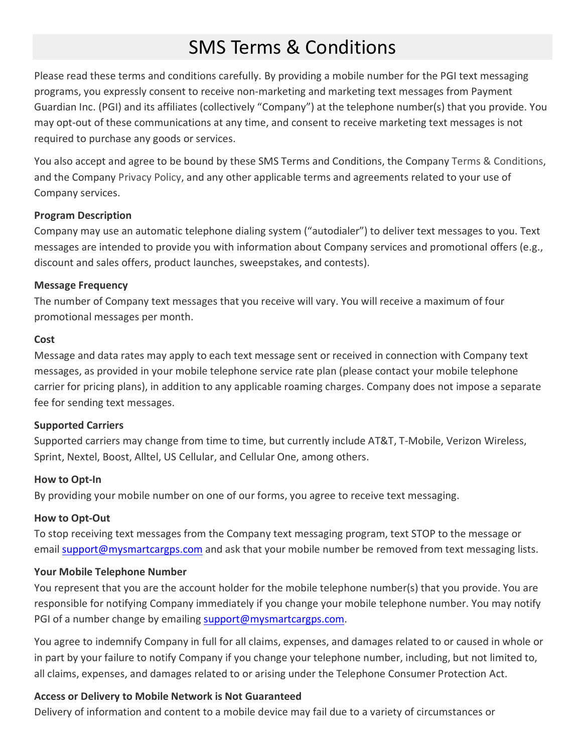# SMS Terms & Conditions

Please read these terms and conditions carefully. By providing a mobile number for the PGI text messaging programs, you expressly consent to receive non-marketing and marketing text messages from Payment Guardian Inc. (PGI) and its affiliates (collectively "Company") at the telephone number(s) that you provide. You may opt-out of these communications at any time, and consent to receive marketing text messages is not required to purchase any goods or services.

You also accept and agree to be bound by these SMS Terms and Conditions, the Company [Terms & Conditions,](https://www.linxup.com/about/terms.html) and the Company [Privacy Policy,](https://www.linxup.com/about/privacy.html) and any other applicable terms and agreements related to your use of Company services.

#### **Program Description**

Company may use an automatic telephone dialing system ("autodialer") to deliver text messages to you. Text messages are intended to provide you with information about Company services and promotional offers (e.g., discount and sales offers, product launches, sweepstakes, and contests).

#### **Message Frequency**

The number of Company text messages that you receive will vary. You will receive a maximum of four promotional messages per month.

#### **Cost**

Message and data rates may apply to each text message sent or received in connection with Company text messages, as provided in your mobile telephone service rate plan (please contact your mobile telephone carrier for pricing plans), in addition to any applicable roaming charges. Company does not impose a separate fee for sending text messages.

#### **Supported Carriers**

Supported carriers may change from time to time, but currently include AT&T, T-Mobile, Verizon Wireless, Sprint, Nextel, Boost, Alltel, US Cellular, and Cellular One, among others.

#### **How to Opt-In**

By providing your mobile number on one of our forms, you agree to receive text messaging.

## **How to Opt-Out**

To stop receiving text messages from the Company text messaging program, text STOP to the message or email [support@mysmartcargps.com](mailto:support@mysmartcargps.com) and ask that your mobile number be removed from text messaging lists.

#### **Your Mobile Telephone Number**

You represent that you are the account holder for the mobile telephone number(s) that you provide. You are responsible for notifying Company immediately if you change your mobile telephone number. You may notify PGI of a number change by emailing [support@mysmartcargps.com.](mailto:support@mysmartcargps.com)

You agree to indemnify Company in full for all claims, expenses, and damages related to or caused in whole or in part by your failure to notify Company if you change your telephone number, including, but not limited to, all claims, expenses, and damages related to or arising under the Telephone Consumer Protection Act.

#### **Access or Delivery to Mobile Network is Not Guaranteed**

Delivery of information and content to a mobile device may fail due to a variety of circumstances or